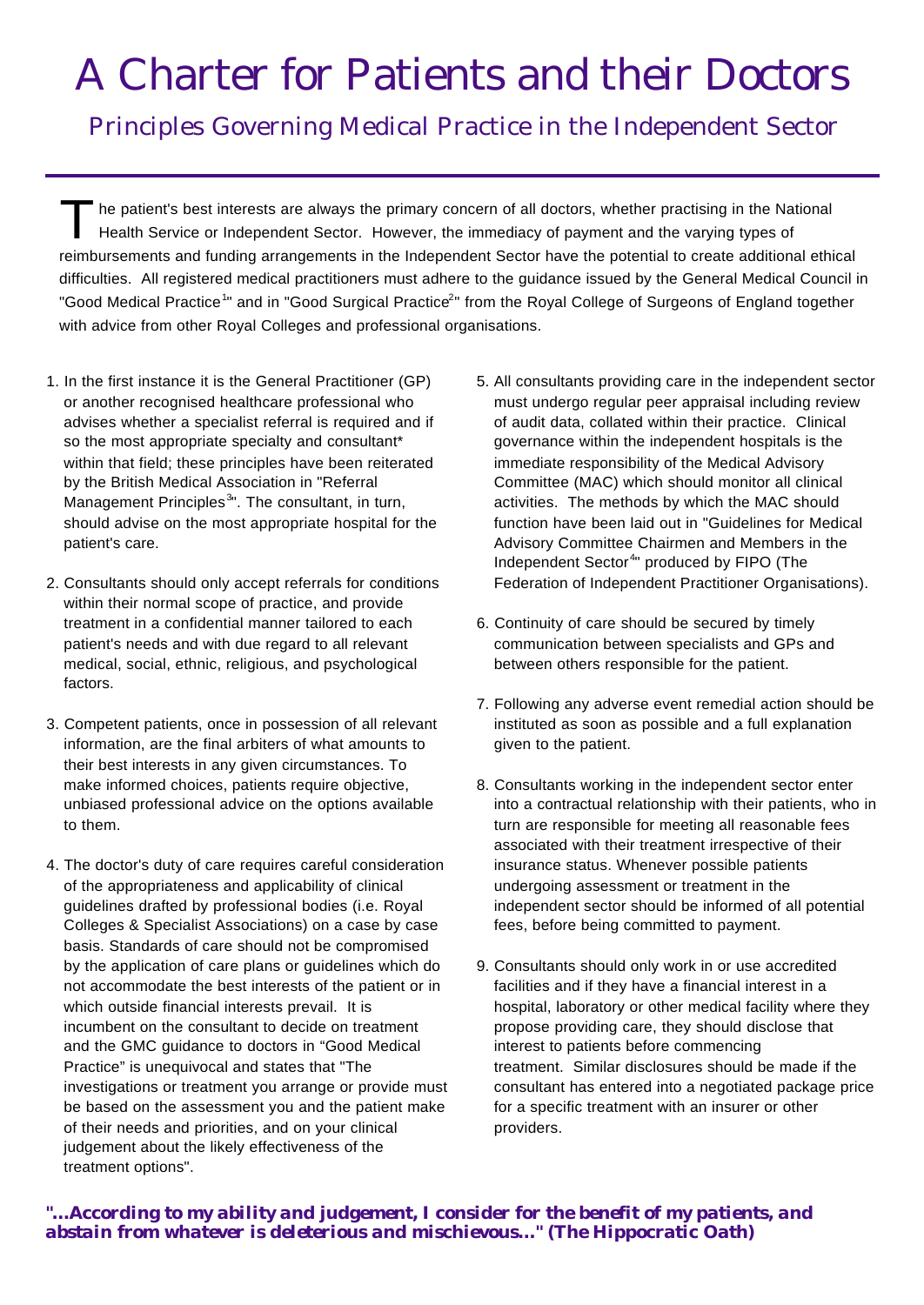# A Charter for Patients and their Doctors

Principles Governing Medical Practice in the Independent Sector

The patient's best interests are always the primary concern of all doctors, whether practising in the National The patient's best interests are always the primary concern of all doctors, whether practising in the Na<br>Health Service or Independent Sector. However, the immediacy of payment and the varying types of reimbursements and funding arrangements in the Independent Sector have the potential to create additional ethical difficulties. All registered medical practitioners must adhere to the guidance issued by the General Medical Council in "Good Medical Practice<sup>1</sup>" and in "Good Surgical Practice<sup>2</sup>" from the Royal College of Surgeons of England together with advice from other Royal Colleges and professional organisations.

- 1. In the first instance it is the General Practitioner (GP) or another recognised healthcare professional who advises whether a specialist referral is required and if so the most appropriate specialty and consultant\* within that field; these principles have been reiterated by the British Medical Association in "Referral Management Principles<sup>3</sup>". The consultant, in turn, should advise on the most appropriate hospital for the patient's care.
- 2. Consultants should only accept referrals for conditions within their normal scope of practice, and provide treatment in a confidential manner tailored to each patient's needs and with due regard to all relevant medical, social, ethnic, religious, and psychological factors.
- 3. Competent patients, once in possession of all relevant information, are the final arbiters of what amounts to their best interests in any given circumstances. To make informed choices, patients require objective, unbiased professional advice on the options available to them.
- 4. The doctor's duty of care requires careful consideration of the appropriateness and applicability of clinical guidelines drafted by professional bodies (i.e. Royal Colleges & Specialist Associations) on a case by case basis. Standards of care should not be compromised by the application of care plans or guidelines which do not accommodate the best interests of the patient or in which outside financial interests prevail. It is incumbent on the consultant to decide on treatment and the GMC guidance to doctors in "Good Medical Practice" is unequivocal and states that "The investigations or treatment you arrange or provide must be based on the assessment you and the patient make of their needs and priorities, and on your clinical judgement about the likely effectiveness of the treatment options".
- 5. All consultants providing care in the independent sector must undergo regular peer appraisal including review of audit data, collated within their practice. Clinical governance within the independent hospitals is the immediate responsibility of the Medical Advisory Committee (MAC) which should monitor all clinical activities. The methods by which the MAC should function have been laid out in "Guidelines for Medical Advisory Committee Chairmen and Members in the Independent Sector<sup>4</sup>" produced by FIPO (The Federation of Independent Practitioner Organisations).
- 6. Continuity of care should be secured by timely communication between specialists and GPs and between others responsible for the patient.
- 7. Following any adverse event remedial action should be instituted as soon as possible and a full explanation given to the patient.
- 8. Consultants working in the independent sector enter into a contractual relationship with their patients, who in turn are responsible for meeting all reasonable fees associated with their treatment irrespective of their insurance status. Whenever possible patients undergoing assessment or treatment in the independent sector should be informed of all potential fees, before being committed to payment.
- 9. Consultants should only work in or use accredited facilities and if they have a financial interest in a hospital, laboratory or other medical facility where they propose providing care, they should disclose that interest to patients before commencing treatment. Similar disclosures should be made if the consultant has entered into a negotiated package price for a specific treatment with an insurer or other providers.

### *"…According to my ability and judgement, I consider for the benefit of my patients, and abstain from whatever is deleterious and mischievous…" (The Hippocratic Oath)*